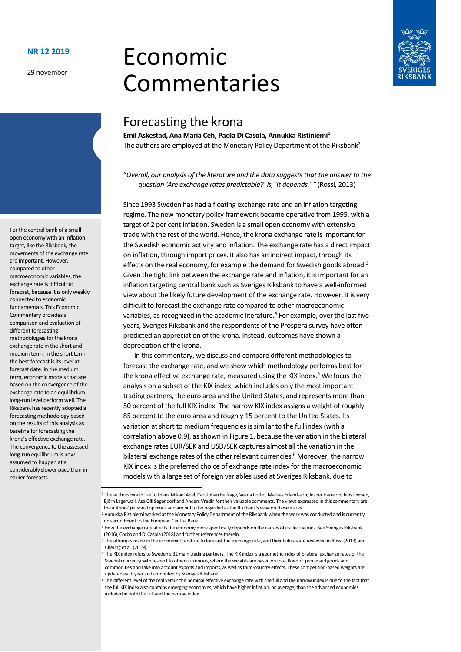29 november

# Economic Commentaries



# Forecasting the krona

**Emil Askestad, Ana Maria Ceh, Paola Di Casola, Annukka Ristiniemi<sup>1</sup>** The authors are employed at the Monetary Policy Department of the Riksbank<sup>2</sup>

"*Overall, our analysis of the literature and the data suggests that the answer to the question 'Are exchange rates predictable?' is, 'It depends.' "* (Rossi, 2013)

Since 1993 Sweden has had a floating exchange rate and an inflation targeting regime. The new monetary policy framework became operative from 1995, with a target of 2 per cent inflation. Sweden is a small open economy with extensive trade with the rest of the world. Hence, the krona exchange rate is important for the Swedish economic activity and inflation. The exchange rate has a direct impact on inflation, through import prices. It also has an indirect impact, through its effects on the real economy, for example the demand for Swedish goods abroad. 3 Given the tight link between the exchange rate and inflation, it is important for an inflation targeting central bank such as Sveriges Riksbank to have a well-informed view about the likely future development of the exchange rate. However, it is very difficult to forecast the exchange rate compared to other macroeconomic variables, as recognized in the academic literature. 4 For example, over the last five years, Sveriges Riksbank and the respondents of the Prospera survey have often predicted an appreciation of the krona. Instead, outcomes have shown a depreciation of the krona.

In this commentary, we discuss and compare different methodologies to forecast the exchange rate, and we show which methodology performs best for the krona effective exchange rate, measured using the KIX index. <sup>5</sup> We focus the analysis on a subset of the KIX index, which includes only the most important trading partners, the euro area and the United States, and represents more than 50 percent of the full KIX index. The narrow KIX index assigns a weight of roughly 85 percent to the euro area and roughly 15 percent to the United States. Its variation at short to medium frequencies is similar to the full index (with a correlation above 0.9), as shown in Figure 1, because the variation in the bilateral exchange rates EUR/SEK and USD/SEK captures almost all the variation in the bilateral exchange rates of the other relevant currencies. <sup>6</sup> Moreover, the narrow KIX index is the preferred choice of exchange rate index for the macroeconomic models with a large set of foreign variables used at Sveriges Riksbank, due to

For the central bank of a small open economy with an inflation target, like the Riksbank, the movements of the exchange rate are important. However, compared to other macroeconomic variables, the exchange rate is difficult to forecast, because it is only weakly connected to economic fundamentals. This Economic Commentary provides a comparison and evaluation of different forecasting methodologies for the krona exchange rate in the short and medium term. In the short term, the best forecast is its level at forecast date. In the medium term, economic models that are based on the convergence of the exchange rate to an equilibrium long-run level perform well. The Riksbank has recently adopted a forecasting methodology based on the results of this analysis as baseline for forecasting the krona's effective exchange rate. The convergence to the assessed long-run equilibrium is now assumed to happen at a considerably slower pace than in earlier forecasts.

<sup>1</sup> The authors would like to thank Mikael Apel, Carl-Johan Belfrage, Vesna Corbo, Mattias Erlandsson, Jesper Hansson, Jens Iversen, Björn Lagerwall, Åsa Olli Segendorf and Anders Vredin fortheir valuable comments. The views expressed in this commentary are the authors' personal opinions and are not to be regarded as the Riksbank's view on these issues.

<sup>2</sup> Annukka Ristiniemi worked at the Monetary Policy Department of the Riksbank when the work was conducted and is currently on secondment to the European Central Bank.

<sup>&</sup>lt;sup>3</sup> How the exchange rate affects the economy more specifically depends on the causes of its fluctuations. See Sveriges Riksbank (2016), Corbo and Di Casola (2018) and further references therein.

<sup>4</sup> The attempts made in the economic literature to forecast the exchange rate, and their failures are reviewed in Rossi (2013) and Cheung et al. (2019).

<sup>5</sup> The KIX index refers to Sweden's 32 main trading partners. The KIX index is a geometric index of bilateral exchange rates of the Swedish currency with respect to other currencies, where the weights are based on total flows of processed goods and commodities and take into account exports and imports, as well as third-country effects. These competition-based weights are updated each year and computed by Sveriges Riksbank.

Fhe different level of the real versus the nominal effective exchange rate with the full and the narrow index is due to the fact that the full KIX index also contains emerging economies, which have higher inflation, on average, than the advanced economies included in both the full and the narrow index.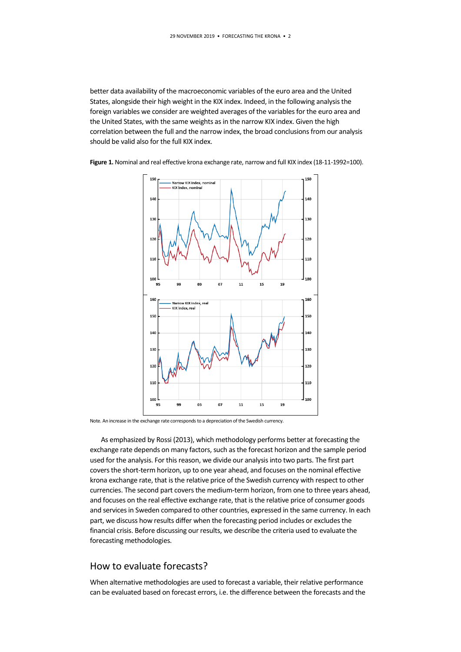better data availability of the macroeconomic variables of the euro area and the United States, alongside their high weight in the KIX index. Indeed, in the following analysis the foreign variables we consider are weighted averages of the variables for the euro area and the United States, with the same weights as in the narrow KIX index. Given the high correlation between the full and the narrow index, the broad conclusions from our analysis should be valid also for the full KIX index.





Note. An increase in the exchange rate corresponds to a depreciation of the Swedish currency.

As emphasized by Rossi (2013), which methodology performs better at forecasting the exchange rate depends on many factors, such as the forecast horizon and the sample period used for the analysis. For this reason, we divide our analysis into two parts. The first part covers the short-term horizon, up to one year ahead, and focuses on the nominal effective krona exchange rate, that is the relative price of the Swedish currency with respect to other currencies. The second part covers the medium-term horizon, from one to three years ahead, and focuses on the real effective exchange rate, that is the relative price of consumer goods and services in Sweden compared to other countries, expressed in the same currency. In each part, we discuss how results differ when the forecasting period includes or excludes the financial crisis. Before discussing our results, we describe the criteria used to evaluate the forecasting methodologies.

## How to evaluate forecasts?

When alternative methodologies are used to forecast a variable, their relative performance can be evaluated based on forecast errors, i.e. the difference between the forecasts and the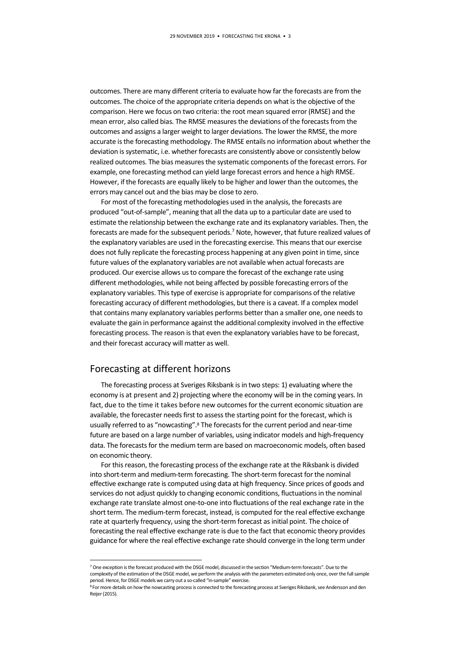outcomes. There are many different criteria to evaluate how far the forecasts are from the outcomes. The choice of the appropriate criteria depends on what is the objective of the comparison. Here we focus on two criteria: the root mean squared error (RMSE) and the mean error, also called bias. The RMSE measures the deviations of the forecasts from the outcomes and assigns a larger weight to larger deviations. The lower the RMSE, the more accurate is the forecasting methodology. The RMSE entails no information about whether the deviation is systematic, i.e. whether forecasts are consistently above or consistently below realized outcomes. The bias measures the systematic components of the forecast errors. For example, one forecasting method can yield large forecast errors and hence a high RMSE. However, if the forecasts are equally likely to be higher and lower than the outcomes, the errors may cancel out and the bias may be close to zero.

For most of the forecasting methodologies used in the analysis, the forecasts are produced "out-of-sample", meaning that all the data up to a particular date are used to estimate the relationship between the exchange rate and its explanatory variables. Then, the forecasts are made for the subsequent periods.<sup>7</sup> Note, however, that future realized values of the explanatory variables are used in the forecasting exercise. This means that our exercise does not fully replicate the forecasting process happening at any given point in time, since future values of the explanatory variables are not available when actual forecasts are produced. Our exercise allows us to compare the forecast of the exchange rate using different methodologies, while not being affected by possible forecasting errors of the explanatory variables. Thistype of exercise is appropriate for comparisons of the relative forecasting accuracy of different methodologies, but there is a caveat. If a complex model that contains many explanatory variables performs better than a smaller one, one needs to evaluate the gain in performance against the additional complexity involved in the effective forecasting process. The reason is that even the explanatory variables have to be forecast, and their forecast accuracy will matter as well.

## Forecasting at different horizons

1

The forecasting process at Sveriges Riksbank is in two steps: 1) evaluating where the economy is at present and 2) projecting where the economy will be in the coming years. In fact, due to the time it takes before new outcomes for the current economic situation are available, the forecaster needs first to assess the starting point for the forecast, which is usually referred to as "nowcasting".<sup>8</sup> The forecasts for the current period and near-time future are based on a large number of variables, using indicator models and high-frequency data. The forecasts for the medium term are based on macroeconomic models, often based on economic theory.

For this reason, the forecasting process of the exchange rate at the Riksbank is divided into short-term and medium-term forecasting. The short-term forecast for the nominal effective exchange rate is computed using data at high frequency. Since prices of goods and services do not adjust quickly to changing economic conditions, fluctuations in the nominal exchange rate translate almost one-to-one into fluctuations of the real exchange rate in the short term. The medium-term forecast, instead, is computed for the real effective exchange rate at quarterly frequency, using the short-term forecast as initial point. The choice of forecasting the real effective exchange rate is due to the fact that economic theory provides guidance for where the real effective exchange rate should converge in the long term under

<sup>7</sup> One exception isthe forecast produced with the DSGE model, discussed in the section "Medium-term forecasts". Due to the complexity of the estimation of the DSGE model, we perform the analysis with the parameters estimated only once, over the full sample period. Hence, for DSGE models we carry out a so-called "in-sample" exercise.

<sup>8</sup> For more details on how the nowcasting process is connected to the forecasting process at Sveriges Riksbank, see Andersson and den Reijer (2015).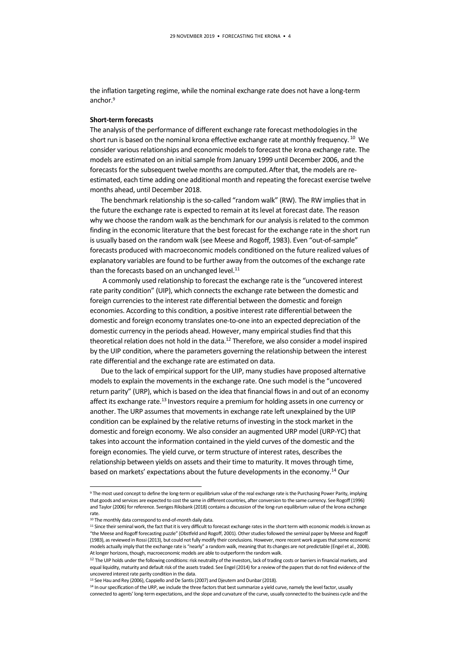the inflation targeting regime, while the nominal exchange rate does not have a long-term anchor. 9

#### **Short-term forecasts**

The analysis of the performance of different exchange rate forecast methodologies in the short run is based on the nominal krona effective exchange rate at monthly frequency. <sup>10</sup> We consider various relationships and economic models to forecast the krona exchange rate. The models are estimated on an initial sample from January 1999 until December 2006, and the forecasts for the subsequent twelve months are computed.After that, the models are reestimated, each time adding one additional month and repeating the forecast exercise twelve months ahead, until December 2018.

The benchmark relationship is the so-called "random walk" (RW). The RW implies that in the future the exchange rate is expected to remain at its level at forecast date. The reason why we choose the random walk as the benchmark for our analysisis related to the common finding in the economic literature that the best forecast for the exchange rate in the short run is usually based on the random walk (see Meese and Rogoff, 1983). Even "out-of-sample" forecasts produced with macroeconomic models conditioned on the future realized values of explanatory variables are found to be further away from the outcomes of the exchange rate than the forecasts based on an unchanged level.<sup>11</sup>

A commonly used relationship to forecast the exchange rate is the "uncovered interest rate parity condition" (UIP), which connects the exchange rate between the domestic and foreign currencies to the interest rate differential between the domestic and foreign economies. According to this condition, a positive interest rate differential between the domestic and foreign economy translates one-to-one into an expected depreciation of the domestic currency in the periods ahead. However, many empirical studies find that this theoretical relation does not hold in the data.<sup>12</sup> Therefore, we also consider a model inspired by the UIP condition, where the parameters governing the relationship between the interest rate differential and the exchange rate are estimated on data.

Due to the lack of empirical support for the UIP, many studies have proposed alternative models to explain the movements in the exchange rate. One such model is the "uncovered return parity" (URP), which is based on the idea that financial flows in and out of an economy affect its exchange rate.<sup>13</sup> Investors require a premium for holding assets in one currency or another. The URP assumes that movements in exchange rate left unexplained by the UIP condition can be explained by the relative returns of investing in the stock market in the domestic and foreign economy. We also consider an augmented URP model (URP-YC) that takes into account the information contained in the yield curves of the domestic and the foreign economies. The yield curve, or term structure of interest rates, describes the relationship between yields on assets and their time to maturity. It moves through time, based on markets' expectations about the future developments in the economy.<sup>14</sup> Our

**-**

<sup>9</sup> The most used concept to define the long-term or equilibrium value of the real exchange rate is the Purchasing Power Parity, implying that goods and services are expected to cost the same in different countries, after conversion to the same currency. See Rogoff (1996) and Taylor (2006) for reference. Sveriges Riksbank (2018) contains a discussion of the long-run equilibrium value of the krona exchange rate.

<sup>&</sup>lt;sup>10</sup> The monthly data correspond to end-of-month daily data.

 $11$  Since their seminal work, the fact that it is very difficult to forecast exchange rates in the short term with economic models is known as "the Meese and Rogoff forecasting puzzle" (Obstfeld and Rogoff, 2001). Other studies followed the seminal paper by Meese and Rogoff (1983), as reviewed in Rossi (2013), but could not fully modify their conclusions. However, more recent work argues that some economic models actually imply that the exchange rate is "nearly" a random walk, meaning that its changes are not predictable (Engel et al., 2008). At longer horizons, though, macroeconomic models are able to outperform the random walk.

<sup>&</sup>lt;sup>12</sup> The UIP holds under the following conditions: risk neutrality of the investors, lack of trading costs or barriers in financial markets, and equal liquidity, maturity and default risk of the assets traded. See Engel (2014) for a review of the papers that do not find evidence of the uncovered interest rate parity condition in the data.

<sup>&</sup>lt;sup>13</sup> See Hau and Rey (2006), Cappiello and De Santis (2007) and Djeutem and Dunbar (2018).

<sup>14</sup> In our specification of the URP, we include the three factors that best summarize a yield curve, namely the level factor, usually connected to agents' long-term expectations, and the slope and curvature of the curve, usually connected to the business cycle and the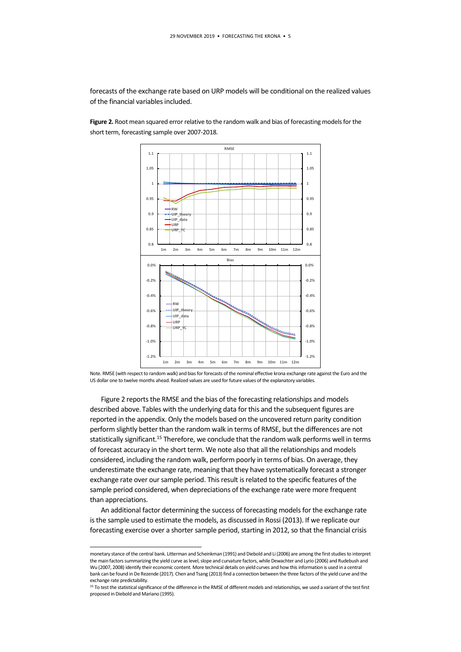forecasts of the exchange rate based on URP models will be conditional on the realized values of the financial variables included.

**Figure 2.** Root mean squared error relative to the random walk and bias of forecasting models for the short term, forecasting sample over 2007-2018.



Note. RMSE (with respect to random walk) and bias for forecasts of the nominal effective krona exchange rate againstthe Euro and the US dollar one to twelve months ahead. Realized values are used for future values of the explanatory variables.

Figure 2 reports the RMSE and the bias of the forecasting relationships and models described above.Tables with the underlying data for this and the subsequent figures are reported in the appendix. Only the models based on the uncovered return parity condition perform slightly better than the random walk in terms of RMSE, but the differences are not statistically significant.<sup>15</sup> Therefore, we conclude that the random walk performs well in terms of forecast accuracy in the short term. We note also that all the relationships and models considered, including the random walk, perform poorly in terms of bias. On average, they underestimate the exchange rate, meaning that they have systematically forecast a stronger exchange rate over our sample period. This result is related to the specific features of the sample period considered, when depreciations of the exchange rate were more frequent than appreciations.

An additional factor determining the success of forecasting models for the exchange rate is the sample used to estimate the models, as discussed in Rossi (2013). If we replicate our forecasting exercise over a shorter sample period, starting in 2012, so that the financial crisis

**-**

monetary stance of the central bank. Litterman and Scheinkman (1991) and Diebold and Li (2006) are among the first studies to interpret the main factors summarizing the yield curve as level, slope and curvature factors, while Dewachter and Lyrio (2006) and Rudebush and Wu (2007, 2008) identify their economic content. More technical details on yield curves and how this information is used in a central bank can be found in De Rezende (2017). Chen and Tsang (2013) find a connection between the three factors of the yield curve and the exchange rate predictability.

<sup>&</sup>lt;sup>15</sup> To test the statistical significance of the difference in the RMSE of different models and relationships, we used a variant of the test first proposed in Diebold and Mariano (1995).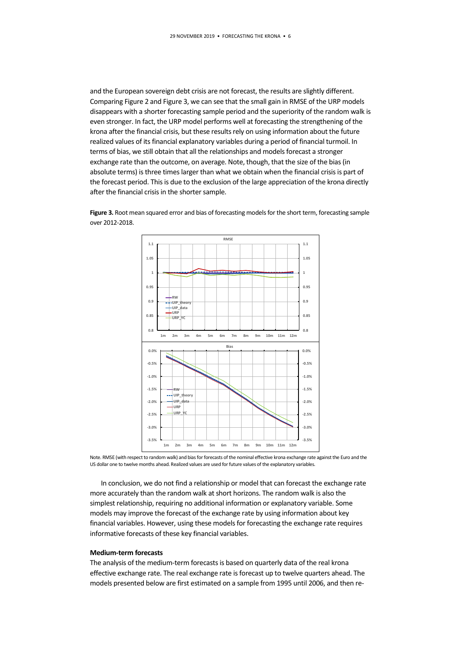and the European sovereign debt crisis are not forecast, the results are slightly different. Comparing Figure 2 and Figure 3, we can see that the small gain in RMSE of the URP models disappears with a shorter forecasting sample period and the superiority of the random walk is even stronger. In fact, the URP model performs well at forecasting the strengthening of the krona after the financial crisis, but these results rely on using information about the future realized values of its financial explanatory variables during a period of financial turmoil. In terms of bias, we still obtain that all the relationships and models forecast a stronger exchange rate than the outcome, on average. Note, though, that the size of the bias(in absolute terms) is three times larger than what we obtain when the financial crisis is part of the forecast period. This is due to the exclusion of the large appreciation of the krona directly after the financial crisis in the shorter sample.

> **0.8 0.85 0.9 0.95 1 1.05 1.1 0.8 0.85 0.9 0.95 1 1.05 1.1 1m 2m 3m 4m 5m 6m 7m 8m 9m 10m 11m 12m RMSE RW UIP\_theory UIP\_data URP URP\_YC -3.5% -3.0% -2.5% -2.0% -1.5% -1.0% -0.5% 0.0% -3.5% -3.0% -2.5% -2.0% -1.5% -1.0% -0.5% 0.0% 1m 2m 3m 4m 5m 6m 7m 8m 9m 10m 11m 12m Bias RW UIP\_theory UIP\_data URP URP\_YC**

Figure 3. Root mean squared error and bias of forecasting models for the short term, forecasting sample over 2012-2018.

Note. RMSE (with respect to random walk) and bias for forecasts of the nominal effective krona exchange rate againstthe Euro and the US dollar one to twelve months ahead. Realized values are used for future values of the explanatory variables.

In conclusion, we do not find a relationship or model that can forecast the exchange rate more accurately than the random walk at short horizons. The random walk is also the simplest relationship, requiring no additional information or explanatory variable. Some models may improve the forecast of the exchange rate by using information about key financial variables. However, using these models for forecasting the exchange rate requires informative forecasts of these key financial variables.

#### **Medium-term forecasts**

The analysis of the medium-term forecasts is based on quarterly data of the real krona effective exchange rate. The real exchange rate is forecast up to twelve quarters ahead. The models presented below are first estimated on a sample from 1995 until 2006, and then re-

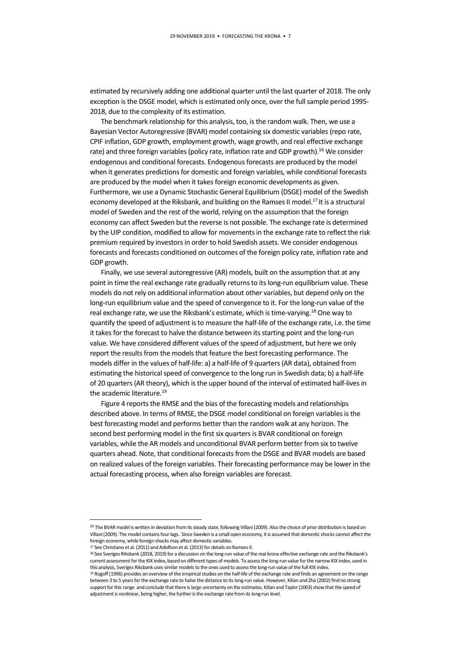estimated by recursively adding one additional quarter until the last quarter of 2018. The only exception is the DSGE model, which is estimated only once, over the full sample period 1995- 2018, due to the complexity of its estimation.

The benchmark relationship for this analysis, too, is the random walk. Then, we use a Bayesian Vector Autoregressive (BVAR) model containing six domestic variables(repo rate, CPIF inflation, GDP growth, employment growth, wage growth, and real effective exchange rate) and three foreign variables (policy rate, inflation rate and GDP growth). <sup>16</sup> We consider endogenous and conditional forecasts. Endogenous forecasts are produced by the model when it generates predictions for domestic and foreign variables, while conditional forecasts are produced by the model when it takes foreign economic developments as given. Furthermore, we use a Dynamic Stochastic General Equilibrium (DSGE) model of the Swedish economy developed at the Riksbank, and building on the Ramses II model.<sup>17</sup> It is a structural model of Sweden and the rest of the world, relying on the assumption that the foreign economy can affect Sweden but the reverse is not possible. The exchange rate is determined by the UIP condition, modified to allow for movements in the exchange rate to reflect the risk premium required by investors in order to hold Swedish assets. We consider endogenous forecasts and forecasts conditioned on outcomes of the foreign policy rate, inflation rate and GDP growth.

Finally, we use several autoregressive (AR) models, built on the assumption that at any point in time the real exchange rate gradually returns to its long-run equilibrium value. These models do not rely on additional information about other variables, but depend only on the long-run equilibrium value and the speed of convergence to it. For the long-run value of the real exchange rate, we use the Riksbank's estimate, which is time-varying.<sup>18</sup> One way to quantify the speed of adjustment is to measure the half-life of the exchange rate, i.e. the time it takes for the forecast to halve the distance between its starting point and the long-run value. We have considered different values of the speed of adjustment, but here we only report the results from the models that feature the best forecasting performance. The models differ in the values of half-life: a) a half-life of 9 quarters (AR data), obtained from estimating the historical speed of convergence to the long run in Swedish data; b) a half-life of 20 quarters (AR theory), which is the upper bound of the interval of estimated half-lives in the academic literature.<sup>19</sup>

Figure 4 reports the RMSE and the bias of the forecasting models and relationships described above. In terms of RMSE, the DSGE model conditional on foreign variables is the best forecasting model and performs better than the random walk at any horizon. The second best performing model in the first six quarters is BVAR conditional on foreign variables, while the AR models and unconditional BVAR perform better from six to twelve quarters ahead. Note, that conditional forecasts from the DSGE and BVAR models are based on realized values of the foreign variables. Their forecasting performance may be lower in the actual forecasting process, when also foreign variables are forecast.

**-**

<sup>&</sup>lt;sup>16</sup> The BVAR model is written in deviation from its steady state, following Villani (2009). Also the choice of prior distribution is based on Villani (2009). The model contains fourlags. Since Sweden is a small open economy, it is assumed that domestic shocks cannot affect the foreign economy, while foreign shocks may affect domestic variables.

<sup>17</sup> See Christiano et al. (2011) and Adolfson et al. (2013) for details on Ramses II.

<sup>&</sup>lt;sup>18</sup> See Sveriges Riksbank (2018, 2019) for a discussion on the long-run value of the real krona effective exchange rate and the Riksbank's current assessment forthe KIX index, based on different types of models. To assess the long-run value for the narrow KIX index, used in this analysis, Sveriges Riksbank uses similar models to the ones used to assess the long-run value of the full KIX index.

<sup>&</sup>lt;sup>19</sup> Rogoff (1996) provides an overview of the empirical studies on the half-life of the exchange rate and finds an agreement on the range between 3 to 5 years for the exchange rate to halve the distance to its long-run value. However, Kilian and Zha (2002) find no strong support for this range and conclude that there is large uncertainty on the estimates. Kilian and Taylor (2003) show that the speed of adjustment is nonlinear, being higher, the further is the exchange rate from its long-run level.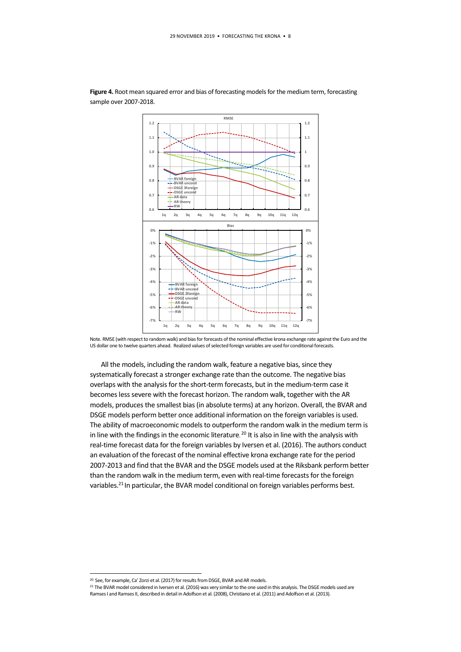

Figure 4. Root mean squared error and bias of forecasting models for the medium term, forecasting sample over 2007-2018.

Note. RMSE (with respect to random walk) and bias for forecasts of the nominal effective krona exchange rate againstthe Euro and the US dollar one to twelve quarters ahead. Realized values of selected foreign variables are used for conditional forecasts.

All the models, including the random walk, feature a negative bias, since they systematically forecast a stronger exchange rate than the outcome. The negative bias overlaps with the analysis for the short-term forecasts, but in the medium-term case it becomes less severe with the forecast horizon. The random walk, together with the AR models, produces the smallest bias (in absolute terms) at any horizon. Overall, the BVAR and DSGE models perform better once additional information on the foreign variables is used. The ability of macroeconomic models to outperform the random walk in the medium term is in line with the findings in the economic literature.<sup>20</sup> It is also in line with the analysis with real-time forecast data for the foreign variables by Iversen et al. (2016). The authors conduct an evaluation of the forecast of the nominal effective krona exchange rate for the period 2007-2013 and find that the BVAR and the DSGE models used at the Riksbank perform better than the random walk in the medium term, even with real-time forecasts for the foreign variables.<sup>21</sup> In particular, the BVAR model conditional on foreign variables performs best.

**.** 

<sup>&</sup>lt;sup>20</sup> See, for example, Ca' Zorzi et al. (2017) for results from DSGE, BVAR and AR models.

<sup>&</sup>lt;sup>21</sup> The BVAR model considered in Iversen et al. (2016) was very similar to the one used in this analysis. The DSGE models used are Ramses I and Ramses II, described in detail in Adolfson et al. (2008), Christiano et al. (2011) and Adolfson et al. (2013).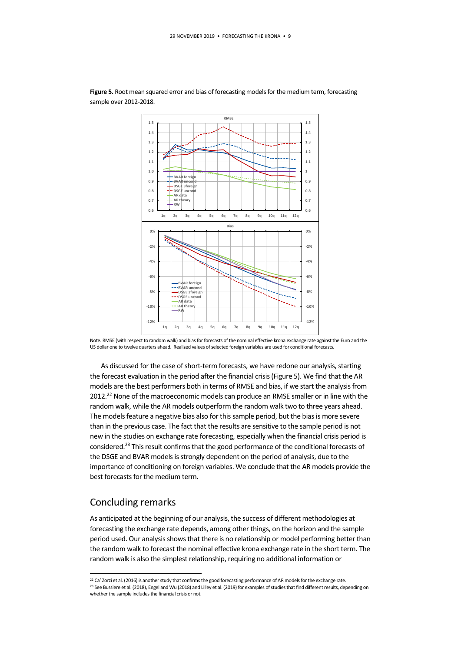

Figure 5. Root mean squared error and bias of forecasting models for the medium term, forecasting sample over 2012-2018.

Note. RMSE (with respect to random walk) and bias for forecasts of the nominal effective krona exchange rate againstthe Euro and the US dollar one to twelve quarters ahead. Realized values of selected foreign variables are used for conditional forecasts.

As discussed for the case of short-term forecasts, we have redone our analysis, starting the forecast evaluation in the period after the financial crisis (Figure 5). We find that the AR models are the best performers both in terms of RMSE and bias, if we start the analysis from 2012.<sup>22</sup> None of the macroeconomic models can produce an RMSE smaller or in line with the random walk, while the AR models outperform the random walk two to three years ahead. The models feature a negative bias also for this sample period, but the bias is more severe than in the previous case. The fact that the results are sensitive to the sample period is not new in the studies on exchange rate forecasting, especially when the financial crisis period is considered.<sup>23</sup> This result confirms that the good performance of the conditional forecasts of the DSGE and BVAR models is strongly dependent on the period of analysis, due to the importance of conditioning on foreign variables. We conclude that the AR models provide the best forecasts for the medium term.

## Concluding remarks

**.** 

As anticipated at the beginning of our analysis, the success of different methodologies at forecasting the exchange rate depends, among other things, on the horizon and the sample period used. Our analysis shows that there is no relationship or model performing better than the random walk to forecast the nominal effective krona exchange rate in the short term. The random walk is also the simplest relationship, requiring no additional information or

<sup>&</sup>lt;sup>22</sup> Ca' Zorzi et al. (2016) is another study that confirms the good forecasting performance of AR models for the exchange rate. <sup>23</sup> See Bussiere et al. (2018), Engel and Wu (2018) and Lilley et al. (2019) for examples of studies that find different results, depending on whether the sample includes the financial crisis or not.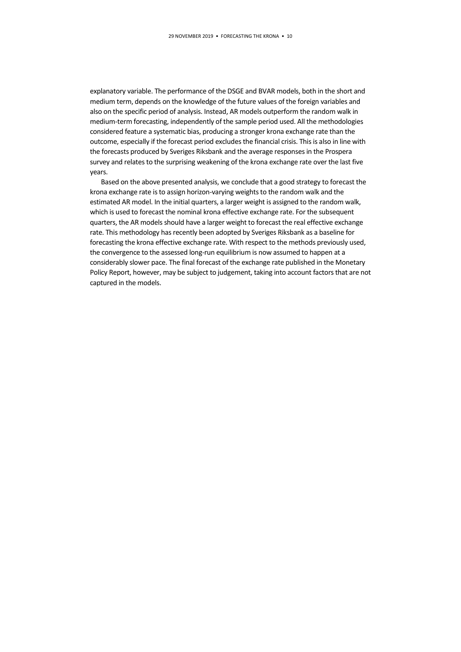explanatory variable. The performance of the DSGE and BVAR models, both in the short and medium term, depends on the knowledge of the future values of the foreign variables and also on the specific period of analysis. Instead, AR models outperform the random walk in medium-term forecasting, independently of the sample period used. All the methodologies considered feature a systematic bias, producing a stronger krona exchange rate than the outcome, especially if the forecast period excludes the financial crisis. This is also in line with the forecasts produced by Sveriges Riksbank and the average responses in the Prospera survey and relates to the surprising weakening of the krona exchange rate over the last five years.

Based on the above presented analysis, we conclude that a good strategy to forecast the krona exchange rate is to assign horizon-varying weights to the random walk and the estimated AR model. In the initial quarters, a larger weight is assigned to the random walk, which is used to forecast the nominal krona effective exchange rate. For the subsequent quarters, the AR models should have a larger weight to forecast the real effective exchange rate. This methodology has recently been adopted by Sveriges Riksbank as a baseline for forecasting the krona effective exchange rate. With respect to the methods previously used, the convergence to the assessed long-run equilibrium is now assumed to happen at a considerably slower pace. The final forecast of the exchange rate published in the Monetary Policy Report, however, may be subject to judgement, taking into account factors that are not captured in the models.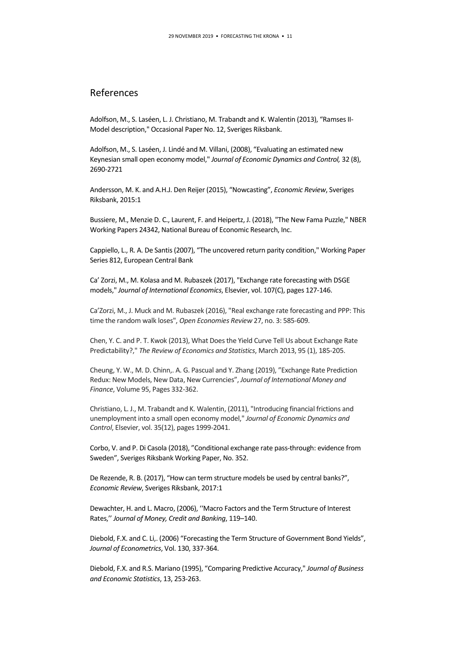## References

Adolfson, M., S. Laséen, L. J. Christiano, M. Trabandt and K. Walentin (2013), "Ramses II-Model description," Occasional Paper No. 12, Sveriges Riksbank.

Adolfson, M., S. Laséen, J. Lindé and M. Villani, (2008), "Evaluating an estimated new Keynesian small open economy model," *Journal of Economic Dynamics and Control,* 32 (8), 2690-2721

Andersson, M. K. and A.H.J. Den Reijer (2015), "Nowcasting", *Economic Review*, Sveriges Riksbank, 2015:1

Bussiere, M., Menzie D. C., Laurent, F. and Heipertz, J. (2018), ["The New Fama Puzzle,](https://ideas.repec.org/p/nbr/nberwo/24342.html)[" NBER](https://ideas.repec.org/s/nbr/nberwo.html)  [Working Papers](https://ideas.repec.org/s/nbr/nberwo.html) 24342, National Bureau of Economic Research, Inc.

Cappiello, L., R. A. De Santis(2007), "The uncovered return parity condition," Working Paper Series 812, European Central Bank

Ca' Zorzi, M., M. Kolasa and M. Rubaszek (2017), "Exchange rate forecasting with DSGE models," *[Journal of International Economics](https://ideas.repec.org/s/eee/inecon.html)*, Elsevier, vol. 107(C), pages 127-146.

Ca'Zorzi, M., J. Muck and M. Rubaszek (2016), "Real exchange rate forecasting and PPP: This time the random walk loses", *Open Economies Review* 27, no. 3: 585-609.

Chen, Y. C. and P. T. Kwok (2013), What Does the Yield Curve Tell Us about Exchange Rate Predictability?," *The Review of Economics and Statistics*, March 2013, 95 (1), 185-205.

Cheung, Y. W., M. D. Chinn,. A. G. Pascual and Y. Zhang (2019), "Exchange Rate Prediction Redux: New Models, New Data, New Currencies", *Journal of International Money and Finance*[, Volume 95,](https://www.sciencedirect.com/science/journal/02615606/95/supp/C) Pages 332-362.

Christiano, L. J., M. Trabandt and K. Walentin, (2011), ["Introducing financial frictions and](https://ideas.repec.org/a/eee/dyncon/v35y2011i12p1999-2041.html)  [unemployment into a small open economy model,](https://ideas.repec.org/a/eee/dyncon/v35y2011i12p1999-2041.html)" *[Journal of Economic Dynamics and](https://ideas.repec.org/s/eee/dyncon.html)  [Control](https://ideas.repec.org/s/eee/dyncon.html)*, Elsevier, vol. 35(12), pages 1999-2041.

Corbo, V. and P. Di Casola (2018), "Conditional exchange rate pass-through: evidence from Sweden", Sveriges Riksbank Working Paper, No. 352.

De Rezende, R. B. (2017), "How can term structure models be used by central banks?", *Economic Review*, Sveriges Riksbank, 2017:1

Dewachter, H. and L. Macro, (2006), ''Macro Factors and the Term Structure of Interest Rates,'' *Journal of Money, Credit and Banking*, 119–140.

Diebold, F.X. and C. Li,. (2006) "Forecasting the Term Structure of Government Bond Yields", *Journal of Econometrics*, Vol. 130, 337-364.

Diebold, F.X. and R.S. Mariano (1995), "Comparing Predictive Accuracy," *Journal of Business and Economic Statistics*, 13, 253-263.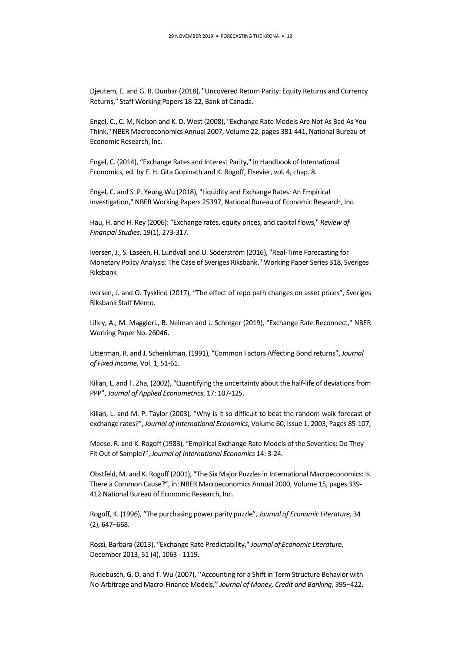Djeutem, E. and G. R. Dunbar (2018), ["Uncovered Return Parity: Equity Returns and Currency](https://ideas.repec.org/p/bca/bocawp/18-22.html)  [Returns,](https://ideas.repec.org/p/bca/bocawp/18-22.html)[" Staff Working Papers](https://ideas.repec.org/s/bca/bocawp.html) 18-22, Bank of Canada.

Engel, C., C. M, Nelson and K. D. West (2008), ["Exchange Rate Models Are Not As Bad As You](https://ideas.repec.org/h/nbr/nberch/4075.html)  [Think,"](https://ideas.repec.org/h/nbr/nberch/4075.html) NBER Macroeconomics Annual 2007, Volume 22, pages 381-441, National Bureau of Economic Research, Inc.

Engel, C. (2014), "Exchange Rates and Interest Parity," in Handbook of International Economics, ed. by E. H. Gita Gopinath and K. Rogoff, Elsevier, vol. 4, chap. 8.

Engel, C. and S .P. Yeung Wu (2018), ["Liquidity and Exchange Rates: An Empirical](https://ideas.repec.org/p/nbr/nberwo/25397.html)  [Investigation,](https://ideas.repec.org/p/nbr/nberwo/25397.html)[" NBER Working Papers](https://ideas.repec.org/s/nbr/nberwo.html) 25397, National Bureau of Economic Research, Inc.

Hau, H. and H. Rey (2006): "Exchange rates, equity prices, and capital flows," *Review of Financial Studies*, 19(1), 273-317.

Iversen, J., S. Laséen, H. Lundvall and U. Söderström (2016), ["Real-Time Forecasting for](https://ideas.repec.org/p/hhs/rbnkwp/0318.html)  [Monetary Policy Analysis: The Case of Sveriges Riksbank,](https://ideas.repec.org/p/hhs/rbnkwp/0318.html)[" Working Paper Series](https://ideas.repec.org/s/hhs/rbnkwp.html) 318, Sveriges Riksbank

Iversen, J. and O. Tysklind (2017), "The effect of repo path changes on asset prices", Sveriges Riksbank Staff Memo.

Lilley, A., M. Maggiori., B. Neiman and J. Schreger (2019), "Exchange Rate Reconnect," NBER Working Paper No. 26046.

Litterman, R. and J. Scheinkman, (1991), "Common Factors Affecting Bond returns", *Journal of Fixed Income*, Vol. 1, 51-61.

Kilian, L. and T. Zha, (2002), "Quantifying the uncertainty about the half‐life of deviations from PPP", *Journal of Applied Econometrics*, 17: 107-125.

Kilian, L. and M. P. Taylor (2003), "Why is it so difficult to beat the random walk forecast of exchange rates?", *Journal of International Economics*, Volume 60, Issue 1, 2003, Pages 85-107,

Meese, R. and K. Rogoff (1983), "[Empirical Exchange Rate Models of the Seventies: Do They](https://scholar.harvard.edu/rogoff/publications/empirical-exchange-rate-models-seventies-do-they-fit-out-sample)  [Fit Out of Sample?](https://scholar.harvard.edu/rogoff/publications/empirical-exchange-rate-models-seventies-do-they-fit-out-sample)", *Journal of International Economics* 14: 3-24.

Obstfeld, M. and K. Rogoff (2001), "[The Six Major Puzzles in International Macroeconomics: Is](https://ideas.repec.org/h/nbr/nberch/11059.html)  [There a Common Cause?](https://ideas.repec.org/h/nbr/nberch/11059.html)", in: NBER Macroeconomics Annual 2000, Volume 15, pages 339- 412 National Bureau of Economic Research, Inc.

Rogoff, K. (1996), "The purchasing power parity puzzle", *Journal of Economic Literature,* 34 (2), 647–668.

Rossi, Barbara (2013), "Exchange Rate Predictability," *Journal of Economic Literature*, December 2013, 51 (4), 1063 - 1119.

Rudebusch, G. D. and T. Wu (2007), ''Accounting for a Shift in Term Structure Behavior with No-Arbitrage and Macro-Finance Models,'' *Journal of Money, Credit and Banking*, 395–422.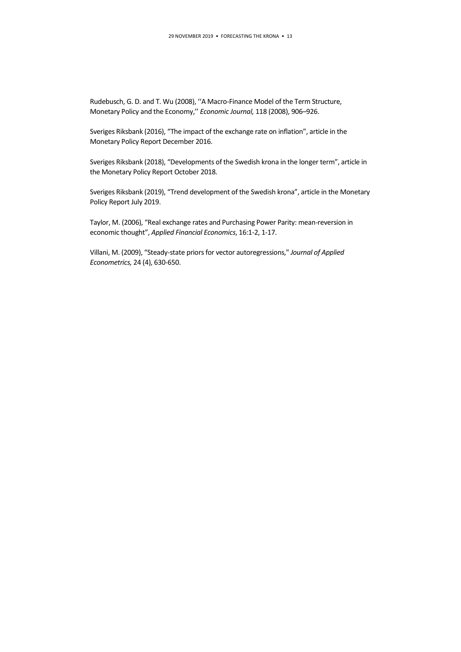Rudebusch, G. D. and T. Wu (2008), ''A Macro-Finance Model of the Term Structure, Monetary Policy and the Economy,'' *Economic Journal,* 118 (2008), 906–926.

Sveriges Riksbank (2016), "The impact of the exchange rate on inflation", article in the Monetary Policy Report December 2016.

Sveriges Riksbank (2018), "Developments of the Swedish krona in the longer term", article in the Monetary Policy Report October 2018.

Sveriges Riksbank (2019), "Trend development of the Swedish krona", article in the Monetary Policy Report July 2019.

Taylor, M. (2006), "Real exchange rates and Purchasing Power Parity: mean-reversion in economic thought", *Applied Financial Economics*, 16:1-2, 1-17.

Villani, M. (2009), "Steady-state priors for vector autoregressions," *Journal of Applied Econometrics,* 24 (4), 630-650.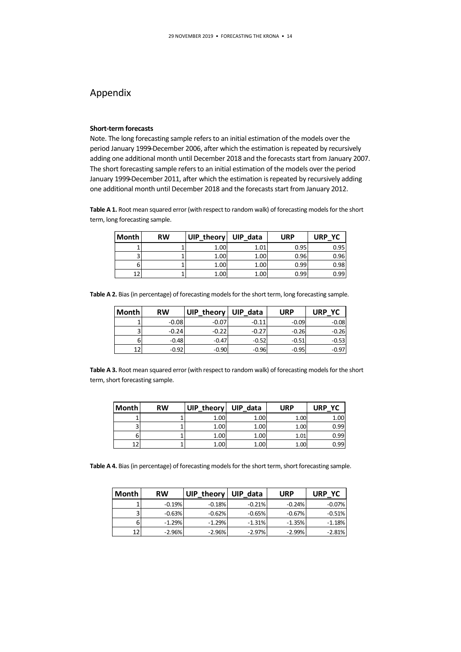# Appendix

### **Short-term forecasts**

Note. The long forecasting sample refers to an initial estimation of the models over the period January 1999̶December 2006, after which the estimation is repeated by recursively adding one additional month until December 2018 and the forecasts start from January 2007. The short forecasting sample refers to an initial estimation of the models over the period January 1999̶December 2011, after which the estimation is repeated by recursively adding one additional month until December 2018 and the forecasts start from January 2012.

**Table A 1.** Root mean squared error (with respect to random walk) of forecasting models for the short term, long forecasting sample.

| <b>Month</b> | <b>RW</b> | UIP_theory | UIP data | <b>URP</b> | URP YC |
|--------------|-----------|------------|----------|------------|--------|
|              |           | 1.00       | 1.01     | 0.95       | 0.95   |
|              |           | 1.00       | 1.00     | 0.96       | 0.96   |
|              |           | 1.00       | 1.00     | 0.99       | 0.98   |
| າາ           |           | 1.00       | 1.00     | 0.99       | 0.99   |

**Table A 2.** Bias (in percentage) of forecasting models for the short term, long forecasting sample.

| <b>Month</b> | <b>RW</b> | <b>UIP</b><br>theory | <b>UIP</b><br>data | <b>URP</b> | URP<br>YC |
|--------------|-----------|----------------------|--------------------|------------|-----------|
|              | $-0.08$   | $-0.07$              | $-0.11$            | $-0.09$    | $-0.08$   |
|              | $-0.24$   | $-0.22$              | $-0.27$            | $-0.26$    | $-0.26$   |
|              | $-0.48$   | $-0.47$              | $-0.52$            | $-0.51$    | $-0.53$   |
| 12           | $-0.92$   | $-0.90$              | $-0.96$            | $-0.95$    | $-0.97$   |

**Table A 3.** Root mean squared error (with respect to random walk) of forecasting models for the short term, short forecasting sample.

| Month | <b>RW</b> | UIP_theory | <b>UIP</b><br>data | <b>URP</b> | <b>URP</b><br>YC |
|-------|-----------|------------|--------------------|------------|------------------|
|       |           | 1.00       | 1.00               | 1.00       | 1.00             |
|       |           | 1.00       | 1.00               | 1.00       | 0.99             |
|       |           | 1.00       | 1.00               | 1.01       | 0.99             |
|       |           | 1.00       | 1.00               | 1.00       | 0.99             |

**Table A 4.** Bias(in percentage) of forecasting models for the short term, short forecasting sample.

| <b>Month</b> | <b>RW</b> | <b>UIP</b><br>theory | <b>UIP</b><br>data | <b>URP</b> | URP YC    |
|--------------|-----------|----------------------|--------------------|------------|-----------|
|              | $-0.19%$  | $-0.18%$             | $-0.21%$           | $-0.24\%$  | $-0.07\%$ |
|              | $-0.63%$  | $-0.62%$             | $-0.65%$           | $-0.67%$   | $-0.51%$  |
|              | $-1.29%$  | $-1.29%$             | $-1.31%$           | $-1.35%$   | $-1.18%$  |
| 12           | $-2.96\%$ | $-2.96%$             | $-2.97%$           | $-2.99\%$  | $-2.81%$  |